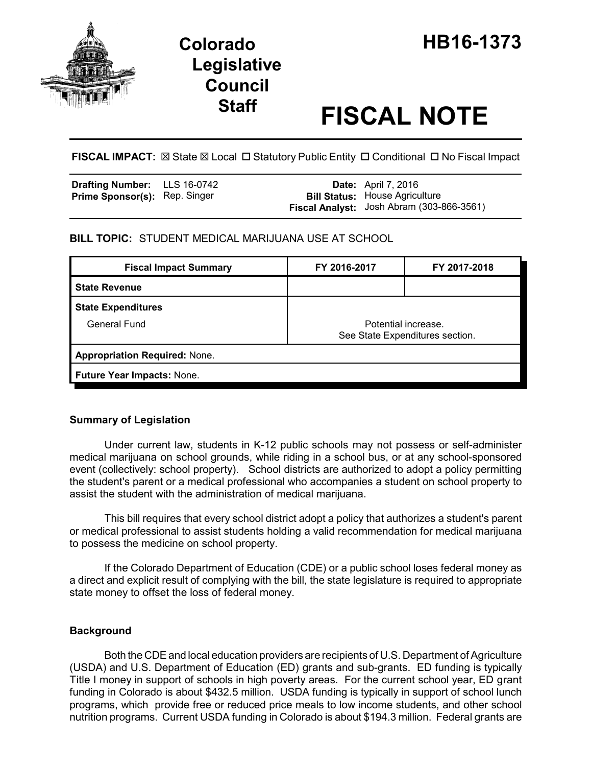

# **Legislative Council**

# **Staff FISCAL NOTE**

**FISCAL IMPACT:**  $\boxtimes$  **State**  $\boxtimes$  **Local □ Statutory Public Entity □ Conditional □ No Fiscal Impact** 

| <b>Drafting Number:</b> LLS 16-0742  |  | <b>Date:</b> April 7, 2016                |
|--------------------------------------|--|-------------------------------------------|
| <b>Prime Sponsor(s): Rep. Singer</b> |  | <b>Bill Status: House Agriculture</b>     |
|                                      |  | Fiscal Analyst: Josh Abram (303-866-3561) |

# **BILL TOPIC:** STUDENT MEDICAL MARIJUANA USE AT SCHOOL

| <b>Fiscal Impact Summary</b>         | FY 2016-2017                                           | FY 2017-2018 |  |  |  |
|--------------------------------------|--------------------------------------------------------|--------------|--|--|--|
| <b>State Revenue</b>                 |                                                        |              |  |  |  |
| <b>State Expenditures</b>            |                                                        |              |  |  |  |
| <b>General Fund</b>                  | Potential increase.<br>See State Expenditures section. |              |  |  |  |
| <b>Appropriation Required: None.</b> |                                                        |              |  |  |  |
| Future Year Impacts: None.           |                                                        |              |  |  |  |

# **Summary of Legislation**

Under current law, students in K-12 public schools may not possess or self-administer medical marijuana on school grounds, while riding in a school bus, or at any school-sponsored event (collectively: school property). School districts are authorized to adopt a policy permitting the student's parent or a medical professional who accompanies a student on school property to assist the student with the administration of medical marijuana.

This bill requires that every school district adopt a policy that authorizes a student's parent or medical professional to assist students holding a valid recommendation for medical marijuana to possess the medicine on school property.

If the Colorado Department of Education (CDE) or a public school loses federal money as a direct and explicit result of complying with the bill, the state legislature is required to appropriate state money to offset the loss of federal money.

# **Background**

Both the CDE and local education providers are recipients of U.S. Department of Agriculture (USDA) and U.S. Department of Education (ED) grants and sub-grants. ED funding is typically Title I money in support of schools in high poverty areas. For the current school year, ED grant funding in Colorado is about \$432.5 million. USDA funding is typically in support of school lunch programs, which provide free or reduced price meals to low income students, and other school nutrition programs. Current USDA funding in Colorado is about \$194.3 million. Federal grants are